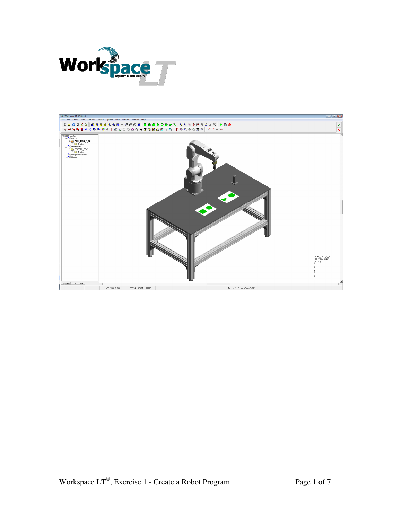

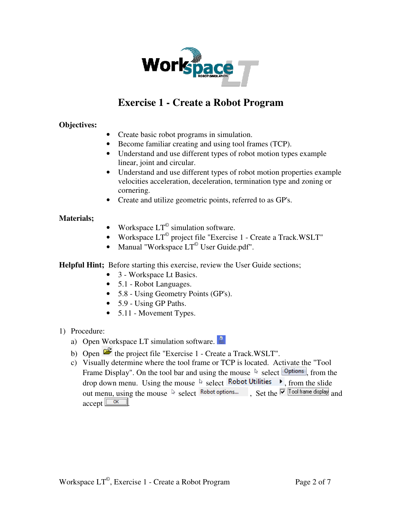

## **Exercise 1 - Create a Robot Program**

## **Objectives:**

- Create basic robot programs in simulation.
- Become familiar creating and using tool frames (TCP).
- Understand and use different types of robot motion types example linear, joint and circular.
- Understand and use different types of robot motion properties example velocities acceleration, deceleration, termination type and zoning or cornering.
- Create and utilize geometric points, referred to as GP's.

## **Materials;**

- Workspace  $LT^{\circ}$  simulation software.
- Workspace  $LT^{\degree}$  project file "Exercise 1 Create a Track.WSLT"
- Manual "Workspace  $LT^{\circ}$  User Guide.pdf".

**Helpful Hint;** Before starting this exercise, review the User Guide sections;

- 3 Workspace Lt Basics.
- 5.1 Robot Languages.
- 5.8 Using Geometry Points (GP's).
- 5.9 Using GP Paths.
- 5.11 Movement Types.
- 1) Procedure:
	- a) Open Workspace LT simulation software.
	- b) Open  $\mathbb{E}$  the project file "Exercise 1 Create a Track.WSLT".
	- c) Visually determine where the tool frame or TCP is located. Activate the "Tool Frame Display". On the tool bar and using the mouse  $\&$  select  $\boxed{\text{Options}}$ , from the drop down menu. Using the mouse  $\&$  select **Robot Utilities**  $\rightarrow$ , from the slide out menu, using the mouse  $\sqrt[k]{\text{select}}$  Robot options...  $\cdot$  Set the  $\sqrt[k]{\text{Test}}$  fool frame display and  $\alpha$ ccept  $\boxed{\alpha}$ .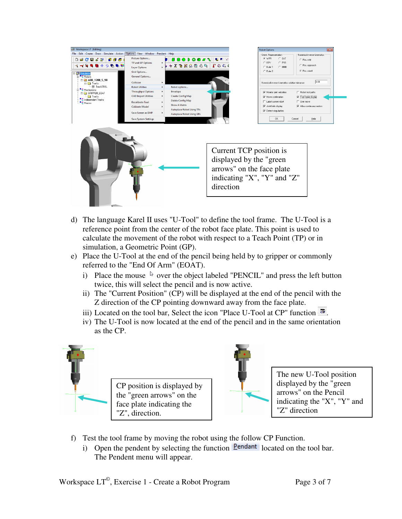

- d) The language Karel II uses "U-Tool" to define the tool frame. The U-Tool is a reference point from the center of the robot face plate. This point is used to calculate the movement of the robot with respect to a Teach Point (TP) or in simulation, a Geometric Point (GP).
- e) Place the U-Tool at the end of the pencil being held by to gripper or commonly referred to the "End Of Arm" (EOAT).
	- i) Place the mouse  $\&$  over the object labeled "PENCIL" and press the left button twice, this will select the pencil and is now active.
	- ii) The "Current Position" (CP) will be displayed at the end of the pencil with the Z direction of the CP pointing downward away from the face plate.
	- iii) Located on the tool bar, Select the icon "Place U-Tool at CP" function  $\Phi$ .
	- iv) The U-Tool is now located at the end of the pencil and in the same orientation as the CP.



CP position is displayed by the "green arrows" on the face plate indicating the "Z", direction.



The new U-Tool position displayed by the "green arrows" on the Pencil indicating the "X", "Y" and "Z" direction

- f) Test the tool frame by moving the robot using the follow CP Function.
	- i) Open the pendent by selecting the function  $\frac{\text{Pendant}}{\text{loaded}}$  located on the tool bar. The Pendent menu will appear.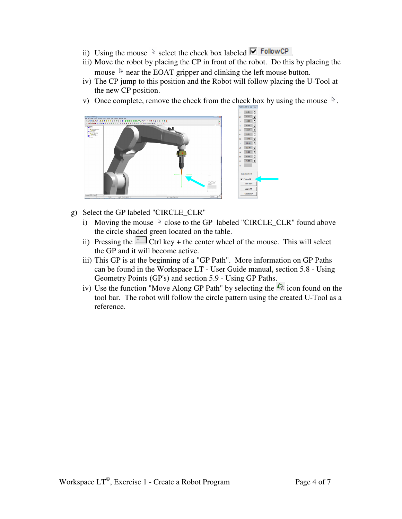- ii) Using the mouse  $\&$  select the check box labeled  $\boxed{\triangledown}$  FollowCP.
- iii) Move the robot by placing the CP in front of the robot. Do this by placing the mouse  $\lambda$  near the EOAT gripper and clinking the left mouse button.
- iv) The CP jump to this position and the Robot will follow placing the U-Tool at the new CP position.
- v) Once complete, remove the check from the check box by using the mouse  $\sqrt[k]{ }$ .



- g) Select the GP labeled "CIRCLE\_CLR"
	- i) Moving the mouse  $\&$  close to the GP labeled "CIRCLE\_CLR" found above the circle shaded green located on the table.
	- ii) Pressing the  $\Box$  Ctrl key + the center wheel of the mouse. This will select the GP and it will become active.
	- iii) This GP is at the beginning of a "GP Path". More information on GP Paths can be found in the Workspace LT - User Guide manual, section 5.8 - Using Geometry Points (GP's) and section 5.9 - Using GP Paths.
	- iv) Use the function "Move Along GP Path" by selecting the  $\hat{\mathbb{Q}}$  icon found on the tool bar. The robot will follow the circle pattern using the created U-Tool as a reference.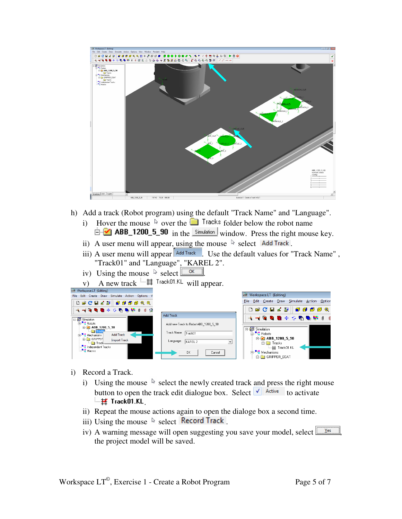

- h) Add a track (Robot program) using the default "Track Name" and "Language".
	- i) Hover the mouse  $\&$  over the **F** Tracks folder below the robot name  $\dot{m}$  ABB\_1200\_5\_90 in the simulation window. Press the right mouse key.
	- ii) A user menu will appear, using the mouse  $\sqrt[k]{\ }$  select Add Track.
	- iii) A user menu will appear  $\sqrt{\frac{|\text{Add Track}|}{\text{Add Track}}}$ . Use the default values for "Track Name", "Track01" and "Language", "KAREL 2".
	- iv) Using the mouse  $\sqrt[k]{\text{select}}$ .
	- v) A new track  $\stackrel{\text{def}}{=}$  Track01.KL will appear.

| List WORKSpace LT (Editing)                                                                                                                                                                                                                                          |                                                                                                                                       |                                                                                                                                                               |
|----------------------------------------------------------------------------------------------------------------------------------------------------------------------------------------------------------------------------------------------------------------------|---------------------------------------------------------------------------------------------------------------------------------------|---------------------------------------------------------------------------------------------------------------------------------------------------------------|
| File Edit Create Draw Simulate Action Options V                                                                                                                                                                                                                      |                                                                                                                                       | Workspace LT (Editing)                                                                                                                                        |
| <b>Decesalgggggg</b>                                                                                                                                                                                                                                                 |                                                                                                                                       | Edit Create Draw Simulate Action Option<br>File                                                                                                               |
| * * * <b>* * * * * * * * *</b> * *                                                                                                                                                                                                                                   |                                                                                                                                       | <b>D &amp; C B &amp; 2   0 6 6 6 9</b>                                                                                                                        |
|                                                                                                                                                                                                                                                                      | <b>Add Track</b>                                                                                                                      |                                                                                                                                                               |
| 日·信号 Simulation<br><b>B</b> - L Robots<br>$\rightarrow$ ABB 1200 5 90<br><b>Figure</b> Track<br><b>Add Track</b><br>E. Mechanisms<br><b>E-C</b> GRIPPEF<br><b>Import Track</b><br>Track <sub>ow</sub><br>Independant Tracks<br>$\blacksquare$ <sup>-1</sup> , Macros | Add new Track to Robot ABB 1200 5 90<br>Track Name:<br>Track01<br>Language:<br>KAREL 2<br>$\blacktriangledown$<br><b>OK</b><br>Cancel | 日 图 Simulation<br>白·Li Robots<br>$\rightarrow$ 200 5 90<br><b>E-</b> Tracks<br>$\pm$ Track01.KL<br>⊟"L <mark>"</mark> Mechanisms<br><b>FI-GO GRIPPER EOAT</b> |

- i) Record a Track.
	- i) Using the mouse  $\&$  select the newly created track and press the right mouse button to open the track edit dialogue box. Select  $\sqrt{\phantom{a}}$  Active to activate  $\overline{H}$  Track01.KL
	- ii) Repeat the mouse actions again to open the dialoge box a second time.
	- iii) Using the mouse  $\&$  select **Record Track**
	- iv) A warning message will open suggesting you save your model, select  $\sqrt{\frac{1}{12}}$ the project model will be saved.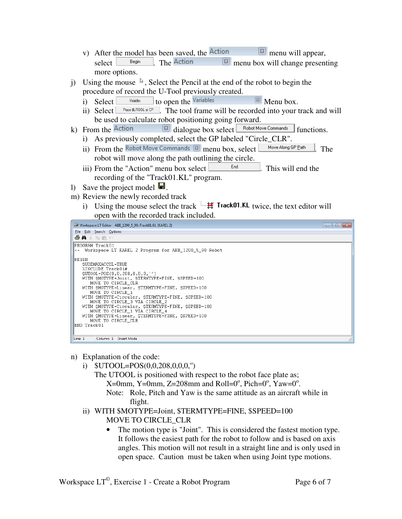- v) After the model has been saved, the menu will appear, select  $\Box$   $\Box$  Begin  $\Box$  The Action  $\Box$  menu box will change presenting more options.
- j) Using the mouse  $\sqrt[3]{ }$ , Select the Pencil at the end of the robot to begin the procedure of record the U-Tool previously created.
	- i) Select  $\frac{V \text{ variables}}{V \text{ variables}}$  to open the Variables  $\boxed{\text{3}}$  Menu box.
	- ii) Select  $\Box$  Place \$UTOOL at CP  $\Box$ . The tool frame will be recorded into your track and will be used to calculate robot positioning going forward.
- k) From the  $\overline{\text{Action}}$   $\overline{\text{Balance}}$  dialogue box select  $\overline{\text{Bobot Move Comments}}$  functions.
	- i) As previously completed, select the GP labeled "Circle\_CLR".
	- ii) From the Robot Move Commands  $\boxed{\boxtimes}$  menu box, select  $\boxed{\phantom{\text{MoveAlong GP Path}}\phantom{\footnotesize}}$ . The robot will move along the path outlining the circle.
	- iii) From the "Action" menu box select  $\Box$  End  $\Box$ . This will end the recording of the "Track01.KL" program.
- 1) Save the project model  $\blacksquare$ .
- m) Review the newly recorded track
	- i) Using the mouse select the track  $\frac{1-\frac{1}{2}}{\frac{1}{2}}$  Track01.KL twice, the text editor will open with the recorded track included.

| LT Workspace LT Editor - ABB 1200_5 90::Track01.KL (KAREL 2)                                                                                                                                                                                                                                                                                                                                                                                                                                                        | $\begin{array}{c c c c c c c c c} \hline \multicolumn{3}{c }{\mathbf{C}} & \multicolumn{3}{c }{\mathbf{C}} & \multicolumn{3}{c }{\mathbf{X}} \end{array}$ |
|---------------------------------------------------------------------------------------------------------------------------------------------------------------------------------------------------------------------------------------------------------------------------------------------------------------------------------------------------------------------------------------------------------------------------------------------------------------------------------------------------------------------|-----------------------------------------------------------------------------------------------------------------------------------------------------------|
| File Edit Search Options                                                                                                                                                                                                                                                                                                                                                                                                                                                                                            |                                                                                                                                                           |
| ●▲☆咱最心                                                                                                                                                                                                                                                                                                                                                                                                                                                                                                              |                                                                                                                                                           |
| PROGRAM Track01<br>Workspace LT KAREL 2 Program for ABB 1200 5 90 Robot                                                                                                                                                                                                                                                                                                                                                                                                                                             |                                                                                                                                                           |
| BEGIN<br>SUSEMAXACCEL=TRUE<br>%INCLUDE Track01#<br>$SUTOOL = POS(0, 0, 208, 0, 0, 0, \cdot)$<br>WITH SMOTYPE=Joint, STERMTYPE=FINE, SSPEED=100<br>MOVE TO CIRCLE CLR<br>WITH \$MOTYPE=Linear, \$TERMTYPE=FINE, \$SPEED=100<br>MOVE TO CIRCLE 1<br>WITH SMOTYPE=Circular, STERMTYPE=FINE, SSPEED=100<br>MOVE TO CIRCLE 3 VIA CIRCLE 2<br>WITH SMOTYPE=Circular, STERMTYPE=FINE, SSPEED=100<br>MOVE TO CIRCLE 1 VIA CIRCLE 4<br>WITH SMOTYPE=Linear, STERMTYPE=FINE, SSPEED=100<br>MOVE TO CIRCLE CLR<br> END Track01 |                                                                                                                                                           |
| Column: 1   Insert Mode<br>Line: 1                                                                                                                                                                                                                                                                                                                                                                                                                                                                                  |                                                                                                                                                           |

- n) Explanation of the code:
	- i) \$UTOOL=POS(0,0,208,0,0,0,'')
		- The UTOOL is positioned with respect to the robot face plate as;
- $X=0$ mm,  $Y=0$ mm,  $Z=208$ mm and Roll=0°, Pich=0°, Yaw=0°.
	- Note: Role, Pitch and Yaw is the same attitude as an aircraft while in flight.
	- ii) WITH \$MOTYPE=Joint, \$TERMTYPE=FINE, \$SPEED=100
		- MOVE TO CIRCLE\_CLR
		- The motion type is "Joint". This is considered the fastest motion type. It follows the easiest path for the robot to follow and is based on axis angles. This motion will not result in a straight line and is only used in open space. Caution must be taken when using Joint type motions.